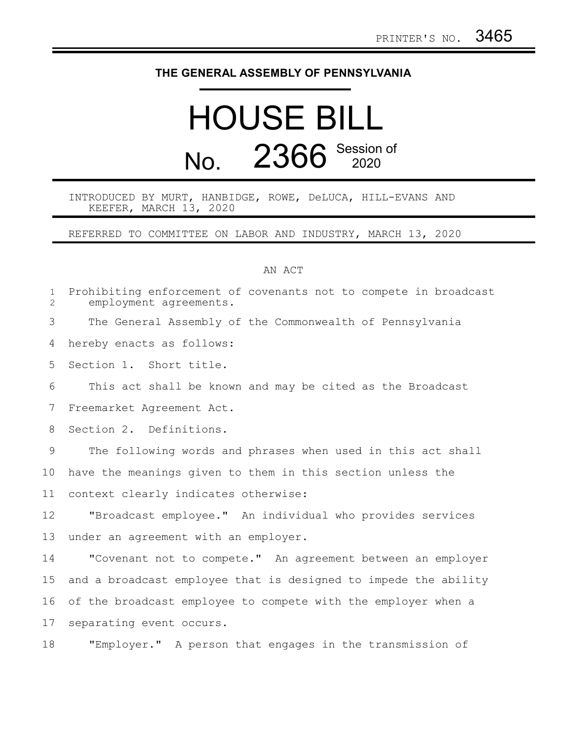## **THE GENERAL ASSEMBLY OF PENNSYLVANIA**

## HOUSE BILL No. 2366 Session of

INTRODUCED BY MURT, HANBIDGE, ROWE, DeLUCA, HILL-EVANS AND KEEFER, MARCH 13, 2020

REFERRED TO COMMITTEE ON LABOR AND INDUSTRY, MARCH 13, 2020

## AN ACT

| $\mathbf{1}$<br>$\overline{2}$ | Prohibiting enforcement of covenants not to compete in broadcast<br>employment agreements. |
|--------------------------------|--------------------------------------------------------------------------------------------|
| 3                              | The General Assembly of the Commonwealth of Pennsylvania                                   |
| 4                              | hereby enacts as follows:                                                                  |
| 5                              | Section 1. Short title.                                                                    |
| 6                              | This act shall be known and may be cited as the Broadcast                                  |
| 7                              | Freemarket Agreement Act.                                                                  |
| 8                              | Section 2. Definitions.                                                                    |
| 9                              | The following words and phrases when used in this act shall                                |
| 10                             | have the meanings given to them in this section unless the                                 |
| 11                             | context clearly indicates otherwise:                                                       |
| 12                             | "Broadcast employee." An individual who provides services                                  |
| 13                             | under an agreement with an employer.                                                       |
| 14                             | "Covenant not to compete." An agreement between an employer                                |
| 15                             | and a broadcast employee that is designed to impede the ability                            |
| 16                             | of the broadcast employee to compete with the employer when a                              |
| 17                             | separating event occurs.                                                                   |
| 18                             | "Employer." A person that engages in the transmission of                                   |